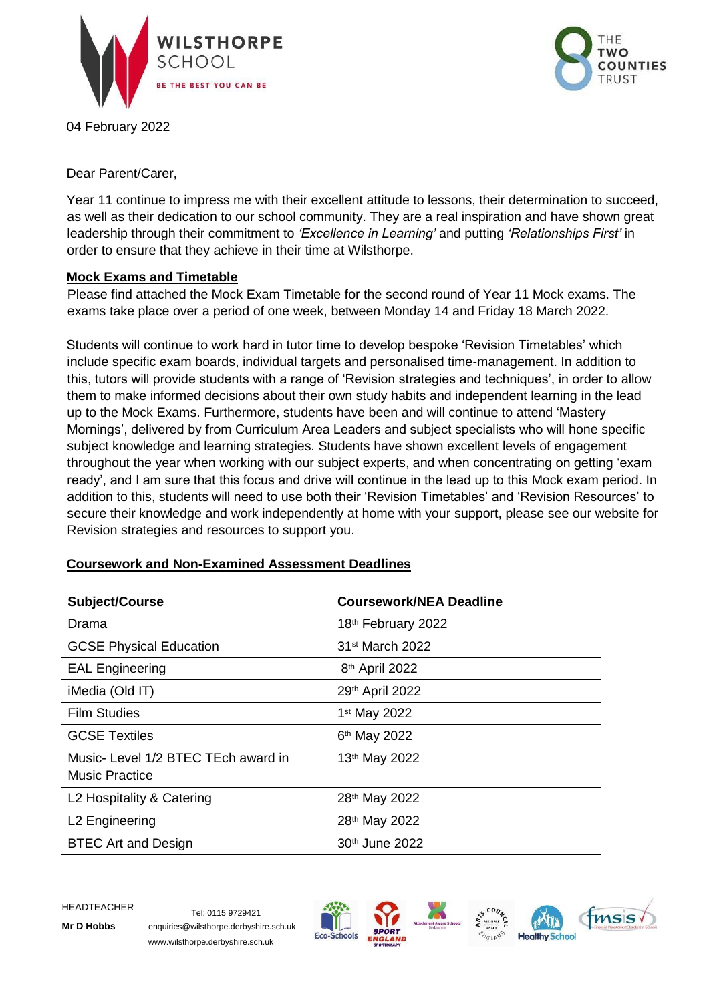

04 February 2022



Dear Parent/Carer,

Year 11 continue to impress me with their excellent attitude to lessons, their determination to succeed, as well as their dedication to our school community. They are a real inspiration and have shown great leadership through their commitment to *'Excellence in Learning'* and putting *'Relationships First'* in order to ensure that they achieve in their time at Wilsthorpe.

## **Mock Exams and Timetable**

Please find attached the Mock Exam Timetable for the second round of Year 11 Mock exams. The exams take place over a period of one week, between Monday 14 and Friday 18 March 2022.

Students will continue to work hard in tutor time to develop bespoke 'Revision Timetables' which include specific exam boards, individual targets and personalised time-management. In addition to this, tutors will provide students with a range of 'Revision strategies and techniques', in order to allow them to make informed decisions about their own study habits and independent learning in the lead up to the Mock Exams. Furthermore, students have been and will continue to attend 'Mastery Mornings', delivered by from Curriculum Area Leaders and subject specialists who will hone specific subject knowledge and learning strategies. Students have shown excellent levels of engagement throughout the year when working with our subject experts, and when concentrating on getting 'exam ready', and I am sure that this focus and drive will continue in the lead up to this Mock exam period. In addition to this, students will need to use both their 'Revision Timetables' and 'Revision Resources' to secure their knowledge and work independently at home with your support, please see our website for Revision strategies and resources to support you.

| Subject/Course                                               | <b>Coursework/NEA Deadline</b> |
|--------------------------------------------------------------|--------------------------------|
| Drama                                                        | 18th February 2022             |
| <b>GCSE Physical Education</b>                               | 31 <sup>st</sup> March 2022    |
| <b>EAL Engineering</b>                                       | 8 <sup>th</sup> April 2022     |
| iMedia (Old IT)                                              | 29th April 2022                |
| <b>Film Studies</b>                                          | 1 <sup>st</sup> May 2022       |
| <b>GCSE Textiles</b>                                         | 6 <sup>th</sup> May 2022       |
| Music- Level 1/2 BTEC TEch award in<br><b>Music Practice</b> | 13th May 2022                  |
| L2 Hospitality & Catering                                    | 28th May 2022                  |
| L2 Engineering                                               | 28th May 2022                  |
| <b>BTEC Art and Design</b>                                   | 30 <sup>th</sup> June 2022     |

## **Coursework and Non-Examined Assessment Deadlines**

HEADTEACHER Tel: 0115 9729421

**Mr D Hobbs** enquiries@wilsthorpe.derbyshire.sch.uk www.wilsthorpe.derbyshire.sch.uk